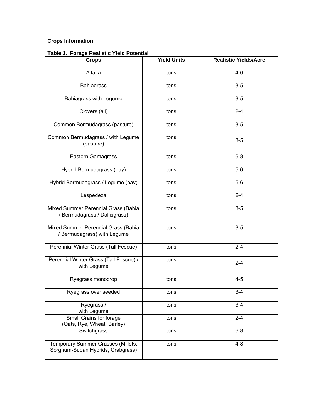**Table 1. Forage Realistic Yield Potential**

| <b>Crops</b>                                                            | <b>Yield Units</b> | <b>Realistic Yields/Acre</b> |
|-------------------------------------------------------------------------|--------------------|------------------------------|
| Alfalfa                                                                 | tons               | $4 - 6$                      |
| <b>Bahiagrass</b>                                                       | tons               | $3-5$                        |
| Bahiagrass with Legume                                                  | tons               | $3-5$                        |
| Clovers (all)                                                           | tons               | $2 - 4$                      |
| Common Bermudagrass (pasture)                                           | tons               | $3-5$                        |
| Common Bermudagrass / with Legume<br>(pasture)                          | tons               | $3-5$                        |
| Eastern Gamagrass                                                       | tons               | $6 - 8$                      |
| Hybrid Bermudagrass (hay)                                               | tons               | $5-6$                        |
| Hybrid Bermudagrass / Legume (hay)                                      | tons               | $5-6$                        |
| Lespedeza                                                               | tons               | $2 - 4$                      |
| Mixed Summer Perennial Grass (Bahia<br>/ Bermudagrass / Dallisgrass)    | tons               | $3-5$                        |
| Mixed Summer Perennial Grass (Bahia<br>/ Bermudagrass) with Legume      | tons               | $3-5$                        |
| Perennial Winter Grass (Tall Fescue)                                    | tons               | $2 - 4$                      |
| Perennial Winter Grass (Tall Fescue) /<br>with Legume                   | tons               | $2 - 4$                      |
| Ryegrass monocrop                                                       | tons               | $4 - 5$                      |
| Ryegrass over seeded                                                    | tons               | $3-4$                        |
| Ryegrass /<br>with Legume                                               | tons               | $3-4$                        |
| Small Grains for forage<br>(Oats, Rye, Wheat, Barley)                   | tons               | $2 - 4$                      |
| Switchgrass                                                             | tons               | $6 - 8$                      |
| Temporary Summer Grasses (Millets,<br>Sorghum-Sudan Hybrids, Crabgrass) | tons               | $4 - 8$                      |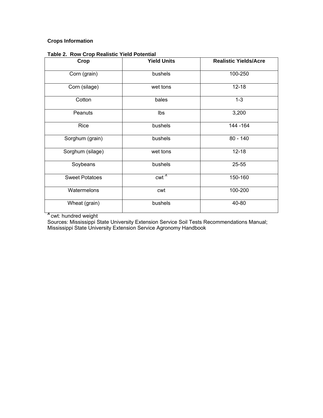| Crop                  | <b>Yield Units</b> | <b>Realistic Yields/Acre</b> |
|-----------------------|--------------------|------------------------------|
| Corn (grain)          | bushels            | 100-250                      |
| Corn (silage)         | wet tons           | $12 - 18$                    |
| Cotton                | bales              | $1 - 3$                      |
| Peanuts               | Ibs                | 3,200                        |
| Rice                  | bushels            | 144 - 164                    |
| Sorghum (grain)       | bushels            | $80 - 140$                   |
| Sorghum (silage)      | wet tons           | $12 - 18$                    |
| Soybeans              | bushels            | 25-55                        |
| <b>Sweet Potatoes</b> | $\text{cwt}^A$     | 150-160                      |
| Watermelons           | cwt                | 100-200                      |
| Wheat (grain)         | bushels            | 40-80                        |

**Table 2. Row Crop Realistic Yield Potential** 

*<sup>A</sup>*cwt: hundred weight

Sources: Mississippi State University Extension Service Soil Tests Recommendations Manual; Mississippi State University Extension Service Agronomy Handbook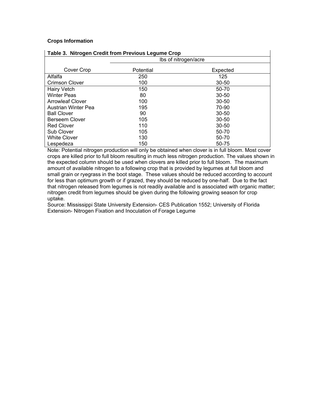| Table 3. Nitrogen Credit from Previous Legume Crop |           |                      |  |  |  |
|----------------------------------------------------|-----------|----------------------|--|--|--|
|                                                    |           | Ibs of nitrogen/acre |  |  |  |
| Cover Crop                                         | Potential | Expected             |  |  |  |
| Alfalfa                                            | 250       | 125                  |  |  |  |
| <b>Crimson Clover</b>                              | 100       | 30-50                |  |  |  |
| <b>Hairy Vetch</b>                                 | 150       | 50-70                |  |  |  |
| <b>Winter Peas</b>                                 | 80        | $30 - 50$            |  |  |  |
| <b>Arrowleaf Clover</b>                            | 100       | $30 - 50$            |  |  |  |
| <b>Austrian Winter Pea</b>                         | 195       | 70-90                |  |  |  |
| <b>Ball Clover</b>                                 | 90        | $30 - 50$            |  |  |  |
| <b>Berseem Clover</b>                              | 105       | $30 - 50$            |  |  |  |
| <b>Red Clover</b>                                  | 110       | 30-50                |  |  |  |
| Sub Clover                                         | 105       | 50-70                |  |  |  |
| <b>White Clover</b>                                | 130       | 50-70                |  |  |  |
| Lespedeza                                          | 150       | 50-75                |  |  |  |

Note: Potential nitrogen production will only be obtained when clover is in full bloom. Most cover crops are killed prior to full bloom resulting in much less nitrogen production. The values shown in the expected column should be used when clovers are killed prior to full bloom. The maximum amount of available nitrogen to a following crop that is provided by legumes at full bloom and small grain or ryegrass in the boot stage. These values should be reduced according to account for less than optimum growth or if grazed, they should be reduced by one-half. Due to the fact that nitrogen released from legumes is not readily available and is associated with organic matter; nitrogen credit from legumes should be given during the following growing season for crop uptake.

Source: Mississippi State University Extension- CES Publication 1552; University of Florida Extension- Nitrogen Fixation and Inoculation of Forage Legume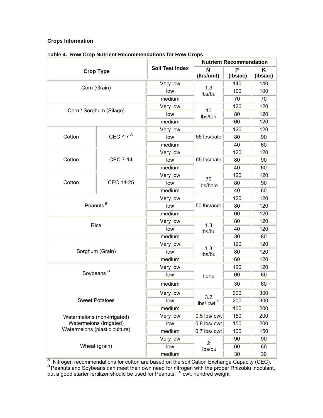|                               |                         |                        | <b>Nutrient Recommendation</b>              |          |          |
|-------------------------------|-------------------------|------------------------|---------------------------------------------|----------|----------|
| <b>Crop Type</b>              |                         | <b>Soil Test Index</b> | N                                           | P        | Κ        |
|                               |                         |                        | (Ibs/unit)                                  | (Ibs/ac) | (Ibs/ac) |
| Corn (Grain)                  |                         | Very low               | 1.3                                         | 140      | 140      |
|                               |                         | low<br>medium          | lbs/bu                                      | 100      | 100      |
|                               |                         |                        |                                             | 70       | 70       |
|                               |                         | Very low<br>low        | 10                                          | 120      | 120      |
|                               | Corn / Sorghum (Silage) |                        | Ibs/ton                                     | 80       | 120      |
|                               |                         |                        |                                             | 60       | 120      |
|                               |                         |                        |                                             | 120      | 120      |
| Cotton                        | CEC $\leq 7^A$          | low                    | 55 lbs/bale                                 | 80       | 90       |
|                               |                         | medium                 |                                             | 40       | 60       |
|                               |                         | Very low               |                                             | 120      | 120      |
| Cotton                        | <b>CEC 7-14</b>         | low                    | 65 lbs/bale                                 | 80       | 90       |
|                               |                         | medium                 |                                             | 40       | 60       |
|                               |                         | Very low               | 75                                          | 120      | 120      |
| Cotton                        | <b>CEC 14-25</b>        | low                    | Ibs/bale                                    | 80       | 90       |
|                               |                         | medium                 |                                             | 40       | 60       |
|                               |                         | Very low               |                                             | 120      | 120      |
| Peanuts <sup>B</sup>          |                         | low                    | 50 lbs/acre                                 | 80       | 120      |
|                               |                         |                        |                                             | 60       | 120      |
|                               | Rice                    |                        | 1.3                                         | 80       | 120      |
|                               |                         | low                    | lbs/bu                                      | 40       | 120      |
|                               |                         | medium                 |                                             | 30       | 80       |
|                               |                         | Very low               | 1.3                                         | 120      | 120      |
| Sorghum (Grain)               |                         | low                    | lbs/bu                                      | 80       | 120      |
|                               |                         | medium                 |                                             | 60       | 120      |
|                               |                         | Very low               |                                             | 120      | 120      |
| Soybeans <sup>B</sup>         |                         | low                    | none                                        | 60       | 60       |
|                               |                         | medium                 |                                             | 30       | 60       |
|                               |                         | Very low               |                                             | 200      | 300      |
| <b>Sweet Potatoes</b>         |                         | low                    | 3.2<br>lbs/ $cwt$ <sup><math>C</math></sup> | 200      | 300      |
|                               |                         | medium                 |                                             | 100      | 200      |
| Watermelons (non-irrigated)   |                         | Very low               | $0.5$ lbs/ $\text{cwt}$                     | 150      | 200      |
|                               | Watermelons (irrigated) |                        | $0.8$ lbs/ $cwt$                            | 150      | 200      |
| Watermelons (plastic culture) |                         | medium                 | $0.7$ lbs/ $\text{cwt}$                     | 100      | 150      |
|                               |                         | Very low               |                                             | 90       | 90       |
| Wheat (grain)                 |                         | low                    | $\overline{2}$<br>Ibs/bu                    | 60       | 60       |
|                               |                         |                        |                                             | 30       | 30       |

**Table 4. Row Crop Nutrient Recommendations for Row Crops**

*A* Nitrogen recommendations for cotton are based on the soil Cation Exchange Capacity (CEC). <sup>B</sup> Peanuts and Soybeans can meet their own need for nitrogen with the proper Rhizobiu inoculant, but a good starter fertilizer should be used for Peanuts. <sup>c</sup> cwt: hundred weight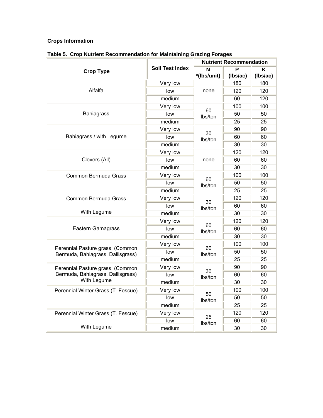|                                                                      | <b>Soil Test Index</b> | <b>Nutrient Recommendation</b> |          |          |
|----------------------------------------------------------------------|------------------------|--------------------------------|----------|----------|
| <b>Crop Type</b>                                                     |                        | N                              | P        | ĸ        |
|                                                                      |                        | *(Ibs/unit)                    | (Ibs/ac) | (Ibs/ac) |
|                                                                      | Very low               |                                | 180      | 180      |
| Alfalfa                                                              | low                    | none                           | 120      | 120      |
|                                                                      | medium                 |                                | 60       | 120      |
|                                                                      | Very low               | 60                             | 100      | 100      |
| <b>Bahiagrass</b>                                                    | low                    | Ibs/ton                        | 50       | 50       |
|                                                                      | medium                 |                                | 25       | 25       |
|                                                                      | Very low               | 30                             | 90       | 90       |
| Bahiagrass / with Legume                                             | low                    | Ibs/ton                        | 60       | 60       |
|                                                                      | medium                 |                                | 30       | 30       |
|                                                                      | Very low               |                                | 120      | 120      |
| Clovers (All)                                                        | low                    | none                           | 60       | 60       |
|                                                                      | medium                 |                                | 30       | 30       |
| Common Bermuda Grass                                                 | Very low               | 60                             | 100      | 100      |
|                                                                      | low                    | Ibs/ton                        | 50       | 50       |
|                                                                      | medium                 |                                | 25       | 25       |
| Common Bermuda Grass                                                 | Very low               | 30<br>Ibs/ton                  | 120      | 120      |
|                                                                      | low                    |                                | 60       | 60       |
| With Legume                                                          | medium                 |                                | 30       | 30       |
|                                                                      | Very low               | 60<br>Ibs/ton                  | 120      | 120      |
| Eastern Gamagrass                                                    | low                    |                                | 60       | 60       |
|                                                                      | medium                 |                                | 30       | 30       |
|                                                                      | Very low               | 60                             | 100      | 100      |
| Perennial Pasture grass (Common<br>Bermuda, Bahiagrass, Dallisgrass) | low                    | Ibs/ton                        | 50       | 50       |
|                                                                      | medium                 |                                | 25       | 25       |
| Perennial Pasture grass (Common                                      | Very low               | 30                             | 90       | 90       |
| Bermuda, Bahiagrass, Dallisgrass)                                    | low                    | lbs/ton                        | 60       | 60       |
| With Legume                                                          | medium                 |                                | 30       | 30       |
| Perennial Winter Grass (T. Fescue)                                   | Very low               |                                | 100      | 100      |
|                                                                      | low                    | 50<br>lbs/ton                  | 50       | 50       |
|                                                                      | medium                 |                                | 25       | 25       |
| Perennial Winter Grass (T. Fescue)                                   | Very low               |                                | 120      | 120      |
|                                                                      | low                    | 25<br>Ibs/ton                  | 60       | 60       |
| With Legume                                                          | medium                 |                                | 30       | 30       |

# **Table 5. Crop Nutrient Recommendation for Maintaining Grazing Forages**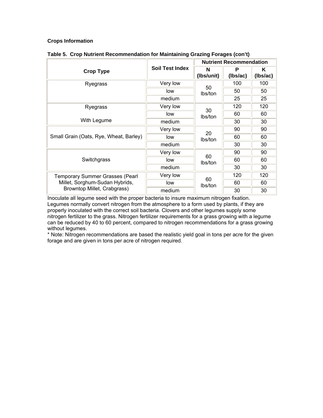|                                        |                        | <b>Nutrient Recommendation</b> |               |               |  |
|----------------------------------------|------------------------|--------------------------------|---------------|---------------|--|
| <b>Crop Type</b>                       | <b>Soil Test Index</b> | N<br>(Ibs/unit)                | P<br>(lbs/ac) | Κ<br>(Ibs/ac) |  |
| Ryegrass                               | Very low               |                                | 100           | 100           |  |
|                                        | low                    | 50<br>lbs/ton                  | 50            | 50            |  |
|                                        | medium                 |                                | 25            | 25            |  |
| Ryegrass                               | Very low               |                                | 120           | 120           |  |
|                                        | 30<br>low<br>lbs/ton   |                                | 60            | 60            |  |
| With Legume                            | medium                 |                                | 30            | 30            |  |
|                                        | Very low               | 20<br>lbs/ton                  | 90            | 90            |  |
| Small Grain (Oats, Rye, Wheat, Barley) | low                    |                                | 60            | 60            |  |
|                                        | medium                 |                                | 30            | 30            |  |
|                                        | Very low               | 60                             | 90            | 90            |  |
| Switchgrass                            | low                    | lbs/ton                        | 60            | 60            |  |
|                                        | medium                 |                                | 30            | 30            |  |
| <b>Temporary Summer Grasses (Pearl</b> | Very low               |                                | 120           | 120           |  |
| Millet, Sorghum-Sudan Hybrids,         | low                    | 60<br>lbs/ton                  | 60            | 60            |  |
| Browntop Millet, Crabgrass)            | medium                 |                                | 30            | 30            |  |

### **Table 5. Crop Nutrient Recommendation for Maintaining Grazing Forages (con't)**

Inoculate all legume seed with the proper bacteria to insure maximum nitrogen fixation. Legumes normally convert nitrogen from the atmosphere to a form used by plants, if they are properly inoculated with the correct soil bacteria. Clovers and other legumes supply some nitrogen fertilizer to the grass. Nitrogen fertilizer requirements for a grass growing with a legume can be reduced by 40 to 60 percent, compared to nitrogen recommendations for a grass growing without legumes.

\* Note: Nitrogen recommendations are based the realistic yield goal in tons per acre for the given forage and are given in tons per acre of nitrogen required.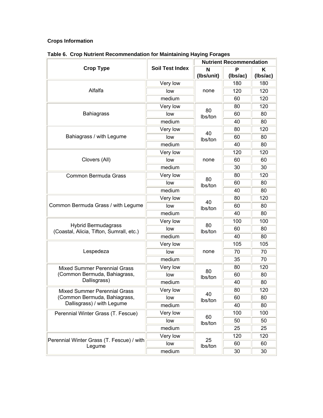|                                                                        |                        | <b>Nutrient Recommendation</b> |               |               |  |
|------------------------------------------------------------------------|------------------------|--------------------------------|---------------|---------------|--|
| <b>Crop Type</b>                                                       | <b>Soil Test Index</b> | N<br>(Ibs/unit)                | Р<br>(Ibs/ac) | Κ<br>(Ibs/ac) |  |
|                                                                        | Very low               |                                | 180           | 180           |  |
| Alfalfa                                                                | low                    | none                           | 120           | 120           |  |
|                                                                        | medium                 |                                | 60            | 120           |  |
|                                                                        | Very low               |                                | 80            | 120           |  |
| Bahiagrass                                                             | low                    | 80<br>Ibs/ton                  | 60            | 80            |  |
|                                                                        | medium                 |                                | 40            | 80            |  |
|                                                                        | Very low               |                                | 80            | 120           |  |
| Bahiagrass / with Legume                                               | low                    | 40<br>Ibs/ton                  | 60            | 80            |  |
|                                                                        | medium                 |                                | 40            | 80            |  |
|                                                                        | Very low               |                                | 120           | 120           |  |
| Clovers (All)                                                          | low                    | none                           | 60            | 60            |  |
|                                                                        | medium                 |                                | 30            | 30            |  |
| Common Bermuda Grass                                                   | Very low               |                                | 80            | 120           |  |
|                                                                        | low                    | 80<br>Ibs/ton                  | 60            | 80            |  |
|                                                                        | medium                 |                                | 40            | 80            |  |
| Common Bermuda Grass / with Legume                                     | Very low               | 40                             | 80            | 120           |  |
|                                                                        | low                    | Ibs/ton                        | 60            | 80            |  |
|                                                                        | medium                 |                                | 40            | 80            |  |
|                                                                        | Very low               | 80<br>Ibs/ton                  | 100           | 100           |  |
| <b>Hybrid Bermudagrass</b><br>(Coastal, Alicia, Tifton, Sumrall, etc.) | low                    |                                | 60            | 80            |  |
|                                                                        | medium                 |                                | 40            | 80            |  |
|                                                                        | Very low               |                                | 105           | 105           |  |
| Lespedeza                                                              | low                    | none                           | 70            | 70            |  |
|                                                                        | medium                 |                                | 35            | 70            |  |
| <b>Mixed Summer Perennial Grass</b>                                    | Very low               | 80                             | 80            | 120           |  |
| (Common Bermuda, Bahiagrass,                                           | low                    | Ibs/ton                        | 60            | 80            |  |
| Dallisgrass)                                                           | medium                 |                                | 40            | 80            |  |
| <b>Mixed Summer Perennial Grass</b>                                    | Very low               | 40                             | 80            | 120           |  |
| (Common Bermuda, Bahiagrass,                                           | low                    | Ibs/ton                        | 60            | 80            |  |
| Dallisgrass) / with Legume                                             | medium                 |                                | 40            | 80            |  |
| Perennial Winter Grass (T. Fescue)                                     | Very low               | 60                             | 100           | 100           |  |
|                                                                        | low                    | Ibs/ton                        | 50            | 50            |  |
|                                                                        | medium                 |                                | 25            | 25            |  |
| Perennial Winter Grass (T. Fescue) / with                              | Very low               | 25                             | 120           | 120           |  |
| Legume                                                                 | low                    | Ibs/ton                        | 60            | 60            |  |
|                                                                        | medium                 |                                | 30            | 30            |  |

# **Table 6. Crop Nutrient Recommendation for Maintaining Haying Forages**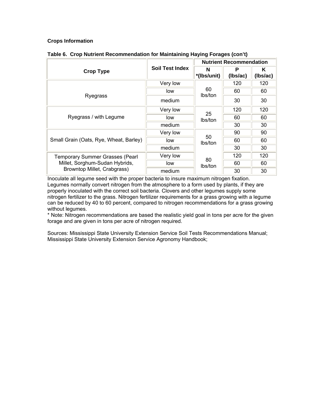|                                        |                        | <b>Nutrient Recommendation</b> |               |               |  |
|----------------------------------------|------------------------|--------------------------------|---------------|---------------|--|
| <b>Crop Type</b>                       | <b>Soil Test Index</b> | N<br>*(Ibs/unit)               | P<br>(Ibs/ac) | ĸ<br>(Ibs/ac) |  |
| Ryegrass                               | Very low               |                                | 120           | 120           |  |
|                                        | low                    | 60<br>lbs/ton                  | 60            | 60            |  |
|                                        | medium                 |                                | 30            | 30            |  |
| Ryegrass / with Legume                 | Very low               | 25<br>lbs/ton                  | 120           | 120           |  |
|                                        | low                    |                                | 60            | 60            |  |
|                                        | medium                 |                                | 30            | 30            |  |
|                                        | Very low               | 50<br>lbs/ton                  | 90            | 90            |  |
| Small Grain (Oats, Rye, Wheat, Barley) | low                    |                                | 60            | 60            |  |
|                                        | medium                 |                                | 30            | 30            |  |
| <b>Temporary Summer Grasses (Pearl</b> | Very low               | 80                             | 120           | 120           |  |
| Millet, Sorghum-Sudan Hybrids,         | low                    | lbs/ton                        | 60            | 60            |  |
| Browntop Millet, Crabgrass)            | medium                 |                                | 30            | 30            |  |

### **Table 6. Crop Nutrient Recommendation for Maintaining Haying Forages (con't)**

Inoculate all legume seed with the proper bacteria to insure maximum nitrogen fixation. Legumes normally convert nitrogen from the atmosphere to a form used by plants, if they are properly inoculated with the correct soil bacteria. Clovers and other legumes supply some nitrogen fertilizer to the grass. Nitrogen fertilizer requirements for a grass growing with a legume can be reduced by 40 to 60 percent, compared to nitrogen recommendations for a grass growing without legumes.

\* Note: Nitrogen recommendations are based the realistic yield goal in tons per acre for the given forage and are given in tons per acre of nitrogen required.

Sources: Mississippi State University Extension Service Soil Tests Recommendations Manual; Mississippi State University Extension Service Agronomy Handbook;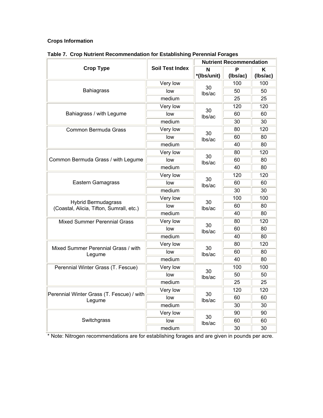|                                           |                        | <b>Nutrient Recommendation</b> |                 |                 |
|-------------------------------------------|------------------------|--------------------------------|-----------------|-----------------|
| <b>Crop Type</b>                          | <b>Soil Test Index</b> | N<br>*(Ibs/unit)               | P<br>(Ibs/ac)   | Κ<br>(Ibs/ac)   |
|                                           | Very low               |                                | 100             | 100             |
| <b>Bahiagrass</b>                         | low                    | 30<br>lbs/ac                   | 50              | 50              |
|                                           | medium                 |                                | $\overline{25}$ | $\overline{25}$ |
|                                           | Very low               | 30                             | 120             | 120             |
| Bahiagrass / with Legume                  | low                    | lbs/ac                         | 60              | 60              |
|                                           | medium                 |                                | 30              | 30              |
| Common Bermuda Grass                      | Very low               | 30                             | 80              | 120             |
|                                           | low                    | lbs/ac                         | 60              | 80              |
|                                           | medium                 |                                | 40              | 80              |
|                                           | Very low               | 30                             | 80              | 120             |
| Common Bermuda Grass / with Legume        | low                    | lbs/ac                         | 60              | 80              |
|                                           | medium                 |                                | 40              | 80              |
|                                           | Very low               | 30                             | 120             | 120             |
| Eastern Gamagrass                         | low                    | lbs/ac                         | 60              | 60              |
|                                           | medium                 |                                | 30              | 30              |
| <b>Hybrid Bermudagrass</b>                | Very low               | 30                             | 100             | 100             |
| (Coastal, Alicia, Tifton, Sumrall, etc.)  | low                    | lbs/ac                         | 60              | 80              |
|                                           | medium                 |                                | 40              | 80              |
| <b>Mixed Summer Perennial Grass</b>       | Very low               | 30                             | 80              | 120             |
|                                           | low                    | lbs/ac                         | 60              | 80              |
|                                           | medium                 |                                | 40              | 80              |
| Mixed Summer Perennial Grass / with       | Very low               | 30                             | 80              | 120             |
| Legume                                    | low                    | lbs/ac                         | 60              | 80              |
|                                           | medium                 |                                | 40              | 80              |
| Perennial Winter Grass (T. Fescue)        | Very low               | 30                             | 100             | 100             |
|                                           | low                    | lbs/ac                         | 50              | 50              |
|                                           | medium                 |                                | 25              | 25              |
| Perennial Winter Grass (T. Fescue) / with | Very low               | 30                             | 120             | 120             |
| Legume                                    | low                    | lbs/ac                         | 60              | 60              |
|                                           | medium                 |                                | 30              | 30              |
|                                           | Very low               | 30                             | 90              | 90              |
| Switchgrass                               | low                    | lbs/ac                         | 60              | 60              |
|                                           | medium                 |                                | 30              | 30              |

### **Table 7. Crop Nutrient Recommendation for Establishing Perennial Forages**

\* Note: Nitrogen recommendations are for establishing forages and are given in pounds per acre.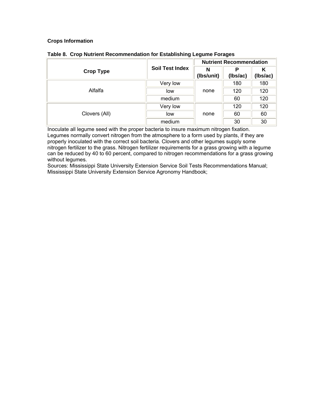|                  |                        |                 | <b>Nutrient Recommendation</b> |               |
|------------------|------------------------|-----------------|--------------------------------|---------------|
| <b>Crop Type</b> | <b>Soil Test Index</b> | N<br>(Ibs/unit) | Р<br>(Ibs/ac)                  | Κ<br>(Ibs/ac) |
| Alfalfa          | Very low               |                 | 180                            | 180           |
|                  | low                    | none            | 120                            | 120           |
|                  | medium                 |                 | 60                             | 120           |
| Clovers (All)    | Very low               |                 | 120                            | 120           |
|                  | low                    | none            | 60                             | 60            |
|                  | medium                 |                 | 30                             | 30            |

|  | Table 8. Crop Nutrient Recommendation for Establishing Legume Forages |  |  |
|--|-----------------------------------------------------------------------|--|--|
|  |                                                                       |  |  |

Inoculate all legume seed with the proper bacteria to insure maximum nitrogen fixation. Legumes normally convert nitrogen from the atmosphere to a form used by plants, if they are properly inoculated with the correct soil bacteria. Clovers and other legumes supply some nitrogen fertilizer to the grass. Nitrogen fertilizer requirements for a grass growing with a legume can be reduced by 40 to 60 percent, compared to nitrogen recommendations for a grass growing without legumes.

Sources: Mississippi State University Extension Service Soil Tests Recommendations Manual; Mississippi State University Extension Service Agronomy Handbook;